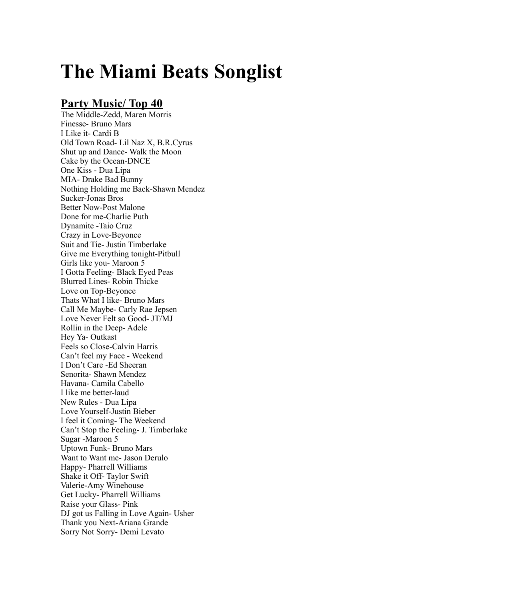# **The Miami Beats Songlist**

# **Party Music/ Top 40**

The Middle-Zedd, Maren Morris Finesse- Bruno Mars I Like it- Cardi B Old Town Road- Lil Naz X, B.R.Cyrus Shut up and Dance- Walk the Moon Cake by the Ocean-DNCE One Kiss - Dua Lipa MIA- Drake Bad Bunny Nothing Holding me Back-Shawn Mendez Sucker-Jonas Bros Better Now-Post Malone Done for me-Charlie Puth Dynamite -Taio Cruz Crazy in Love-Beyonce Suit and Tie- Justin Timberlake Give me Everything tonight-Pitbull Girls like you- Maroon 5 I Gotta Feeling- Black Eyed Peas Blurred Lines- Robin Thicke Love on Top-Beyonce Thats What I like- Bruno Mars Call Me Maybe- Carly Rae Jepsen Love Never Felt so Good- JT/MJ Rollin in the Deep- Adele Hey Ya- Outkast Feels so Close-Calvin Harris Can't feel my Face - Weekend I Don't Care -Ed Sheeran Senorita- Shawn Mendez Havana- Camila Cabello I like me better-laud New Rules - Dua Lipa Love Yourself-Justin Bieber I feel it Coming- The Weekend Can't Stop the Feeling- J. Timberlake Sugar -Maroon 5 Uptown Funk- Bruno Mars Want to Want me- Jason Derulo Happy- Pharrell Williams Shake it Off- Taylor Swift Valerie-Amy Winehouse Get Lucky- Pharrell Williams Raise your Glass- Pink DJ got us Falling in Love Again- Usher Thank you Next-Ariana Grande Sorry Not Sorry- Demi Levato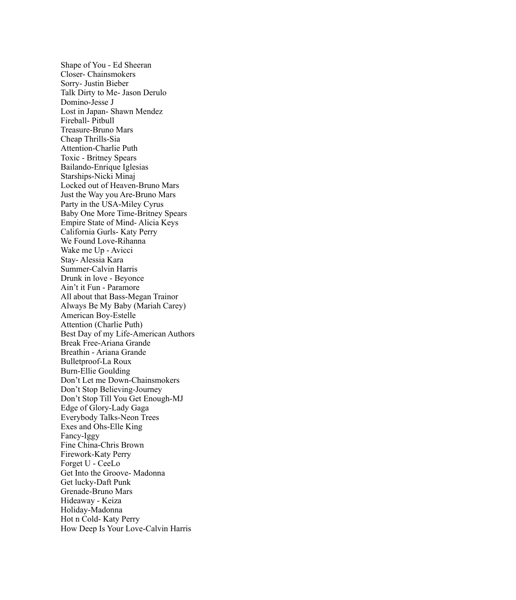Shape of You - Ed Sheeran Closer- Chainsmokers Sorry- Justin Bieber Talk Dirty to Me- Jason Derulo Domino-Jesse J Lost in Japan- Shawn Mendez Fireball- Pitbull Treasure-Bruno Mars Cheap Thrills-Sia Attention-Charlie Puth Toxic - Britney Spears Bailando-Enrique Iglesias Starships-Nicki Minaj Locked out of Heaven-Bruno Mars Just the Way you Are-Bruno Mars Party in the USA-Miley Cyrus Baby One More Time-Britney Spears Empire State of Mind- Alicia Keys California Gurls- Katy Perry We Found Love-Rihanna Wake me Up - Avicci Stay- Alessia Kara Summer-Calvin Harris Drunk in love - Beyonce Ain't it Fun - Paramore All about that Bass-Megan Trainor Always Be My Baby (Mariah Carey) American Boy-Estelle Attention (Charlie Puth) Best Day of my Life-American Authors Break Free-Ariana Grande Breathin - Ariana Grande Bulletproof-La Roux Burn-Ellie Goulding Don't Let me Down-Chainsmokers Don't Stop Believing-Journey Don't Stop Till You Get Enough-MJ Edge of Glory-Lady Gaga Everybody Talks-Neon Trees Exes and Ohs-Elle King Fancy-Iggy Fine China-Chris Brown Firework-Katy Perry Forget U - CeeLo Get Into the Groove- Madonna Get lucky-Daft Punk Grenade-Bruno Mars Hideaway - Keiza Holiday-Madonna Hot n Cold- Katy Perry How Deep Is Your Love-Calvin Harris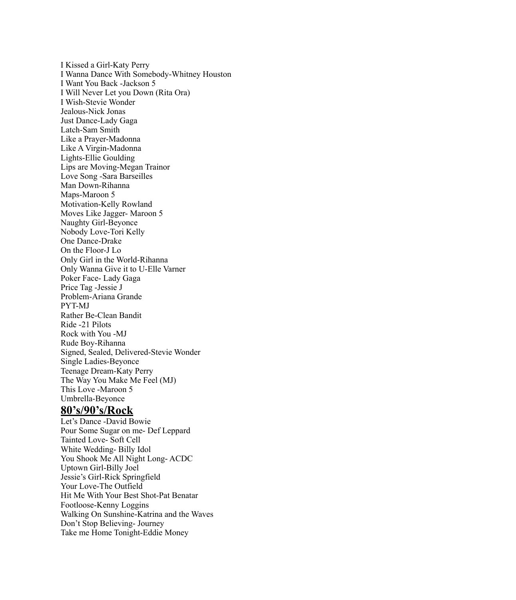I Kissed a Girl-Katy Perry I Wanna Dance With Somebody-Whitney Houston I Want You Back -Jackson 5 I Will Never Let you Down (Rita Ora) I Wish-Stevie Wonder Jealous-Nick Jonas Just Dance-Lady Gaga Latch-Sam Smith Like a Prayer-Madonna Like A Virgin-Madonna Lights-Ellie Goulding Lips are Moving-Megan Trainor Love Song -Sara Barseilles Man Down-Rihanna Maps-Maroon 5 Motivation-Kelly Rowland Moves Like Jagger- Maroon 5 Naughty Girl-Beyonce Nobody Love-Tori Kelly One Dance-Drake On the Floor-J Lo Only Girl in the World-Rihanna Only Wanna Give it to U-Elle Varner Poker Face- Lady Gaga Price Tag -Jessie J Problem-Ariana Grande PYT-MJ Rather Be-Clean Bandit Ride -21 Pilots Rock with You -MJ Rude Boy-Rihanna Signed, Sealed, Delivered-Stevie Wonder Single Ladies-Beyonce Teenage Dream-Katy Perry The Way You Make Me Feel (MJ) This Love -Maroon 5 Umbrella-Beyonce

#### **80's/90's/Rock**

Let's Dance -David Bowie Pour Some Sugar on me- Def Leppard Tainted Love- Soft Cell White Wedding- Billy Idol You Shook Me All Night Long- ACDC Uptown Girl-Billy Joel Jessie's Girl-Rick Springfield Your Love-The Outfield Hit Me With Your Best Shot-Pat Benatar Footloose-Kenny Loggins Walking On Sunshine-Katrina and the Waves Don't Stop Believing- Journey Take me Home Tonight-Eddie Money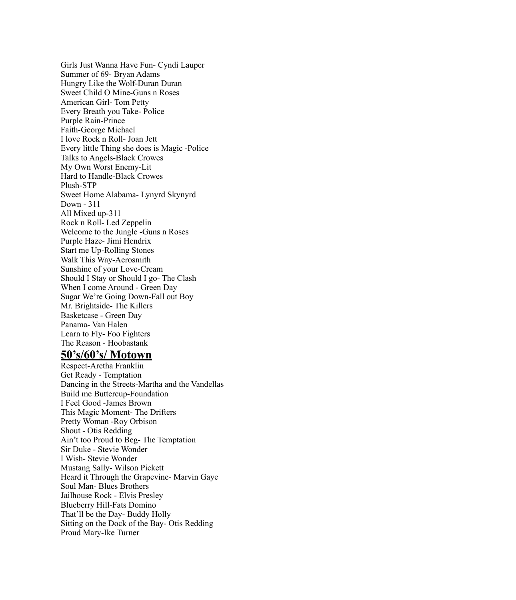Girls Just Wanna Have Fun- Cyndi Lauper Summer of 69- Bryan Adams Hungry Like the Wolf-Duran Duran Sweet Child O Mine-Guns n Roses American Girl- Tom Petty Every Breath you Take- Police Purple Rain-Prince Faith-George Michael I love Rock n Roll- Joan Jett Every little Thing she does is Magic -Police Talks to Angels-Black Crowes My Own Worst Enemy-Lit Hard to Handle-Black Crowes Plush-STP Sweet Home Alabama- Lynyrd Skynyrd Down - 311 All Mixed up-311 Rock n Roll- Led Zeppelin Welcome to the Jungle -Guns n Roses Purple Haze- Jimi Hendrix Start me Up-Rolling Stones Walk This Way-Aerosmith Sunshine of your Love-Cream Should I Stay or Should I go- The Clash When I come Around - Green Day Sugar We're Going Down-Fall out Boy Mr. Brightside- The Killers Basketcase - Green Day Panama- Van Halen Learn to Fly- Foo Fighters The Reason - Hoobastank

### **50's/60's/ Motown**

Respect-Aretha Franklin Get Ready - Temptation Dancing in the Streets-Martha and the Vandellas Build me Buttercup-Foundation I Feel Good -James Brown This Magic Moment- The Drifters Pretty Woman -Roy Orbison Shout - Otis Redding Ain't too Proud to Beg- The Temptation Sir Duke - Stevie Wonder I Wish- Stevie Wonder Mustang Sally- Wilson Pickett Heard it Through the Grapevine- Marvin Gaye Soul Man- Blues Brothers Jailhouse Rock - Elvis Presley Blueberry Hill-Fats Domino That'll be the Day- Buddy Holly Sitting on the Dock of the Bay- Otis Redding Proud Mary-Ike Turner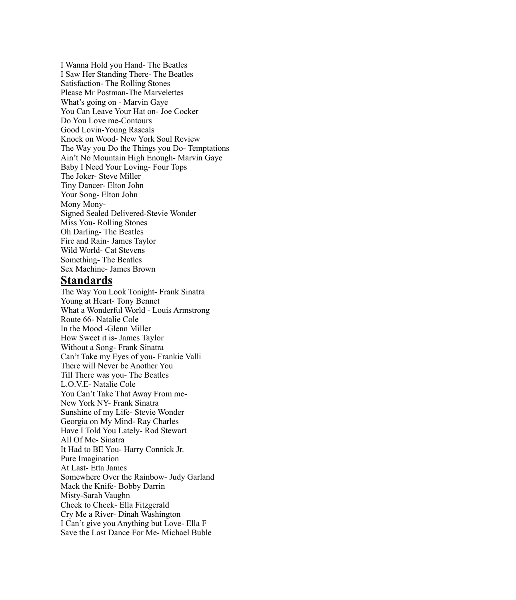I Wanna Hold you Hand- The Beatles I Saw Her Standing There- The Beatles Satisfaction- The Rolling Stones Please Mr Postman-The Marvelettes What's going on - Marvin Gaye You Can Leave Your Hat on- Joe Cocker Do You Love me-Contours Good Lovin-Young Rascals Knock on Wood- New York Soul Review The Way you Do the Things you Do- Temptations Ain't No Mountain High Enough- Marvin Gaye Baby I Need Your Loving- Four Tops The Joker- Steve Miller Tiny Dancer- Elton John Your Song- Elton John Mony Mony-Signed Sealed Delivered-Stevie Wonder Miss You- Rolling Stones Oh Darling- The Beatles Fire and Rain- James Taylor Wild World- Cat Stevens Something- The Beatles Sex Machine- James Brown

#### **Standards**

The Way You Look Tonight- Frank Sinatra Young at Heart- Tony Bennet What a Wonderful World - Louis Armstrong Route 66- Natalie Cole In the Mood -Glenn Miller How Sweet it is- James Taylor Without a Song- Frank Sinatra Can't Take my Eyes of you- Frankie Valli There will Never be Another You Till There was you- The Beatles L.O.V.E- Natalie Cole You Can't Take That Away From me-New York NY- Frank Sinatra Sunshine of my Life- Stevie Wonder Georgia on My Mind- Ray Charles Have I Told You Lately- Rod Stewart All Of Me- Sinatra It Had to BE You- Harry Connick Jr. Pure Imagination At Last- Etta James Somewhere Over the Rainbow- Judy Garland Mack the Knife- Bobby Darrin Misty-Sarah Vaughn Cheek to Cheek- Ella Fitzgerald Cry Me a River- Dinah Washington I Can't give you Anything but Love- Ella F Save the Last Dance For Me- Michael Buble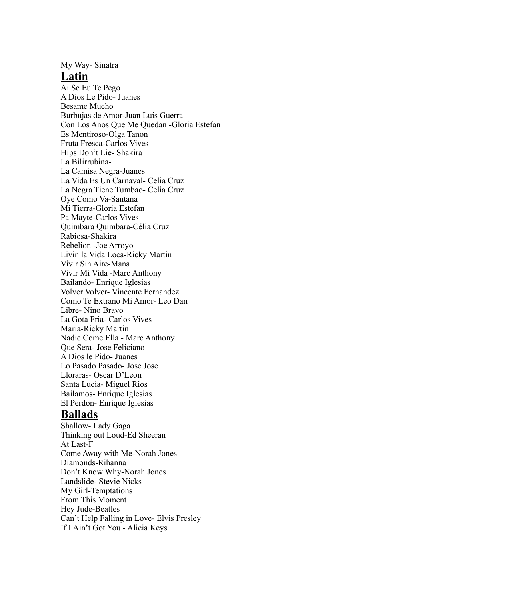My Way- Sinatra

## **Latin**

Ai Se Eu Te Pego A Dios Le Pido- Juanes Besame Mucho Burbujas de Amor-Juan Luis Guerra Con Los Anos Que Me Quedan -Gloria Estefan Es Mentiroso-Olga Tanon Fruta Fresca-Carlos Vives Hips Don't Lie- Shakira La Bilirrubina-La Camisa Negra-Juanes La Vida Es Un Carnaval- Celia Cruz La Negra Tiene Tumbao- Celia Cruz Oye Como Va-Santana Mi Tierra-Gloria Estefan Pa Mayte-Carlos Vives Quimbara Quimbara-Célia Cruz Rabiosa-Shakira Rebelion -Joe Arroyo Livin la Vida Loca-Ricky Martin Vivir Sin Aire-Mana Vivir Mi Vida -Marc Anthony Bailando- Enrique Iglesias Volver Volver- Vincente Fernandez Como Te Extrano Mi Amor- Leo Dan Libre- Nino Bravo La Gota Fria- Carlos Vives Maria-Ricky Martin Nadie Come Ella - Marc Anthony Que Sera- Jose Feliciano A Dios le Pido- Juanes Lo Pasado Pasado- Jose Jose Lloraras- Oscar D'Leon Santa Lucia- Miguel Rios Bailamos- Enrique Iglesias El Perdon- Enrique Iglesias

## **Ballads**

Shallow- Lady Gaga Thinking out Loud-Ed Sheeran At Last-F Come Away with Me-Norah Jones Diamonds-Rihanna Don't Know Why-Norah Jones Landslide- Stevie Nicks My Girl-Temptations From This Moment Hey Jude-Beatles Can't Help Falling in Love- Elvis Presley If I Ain't Got You - Alicia Keys